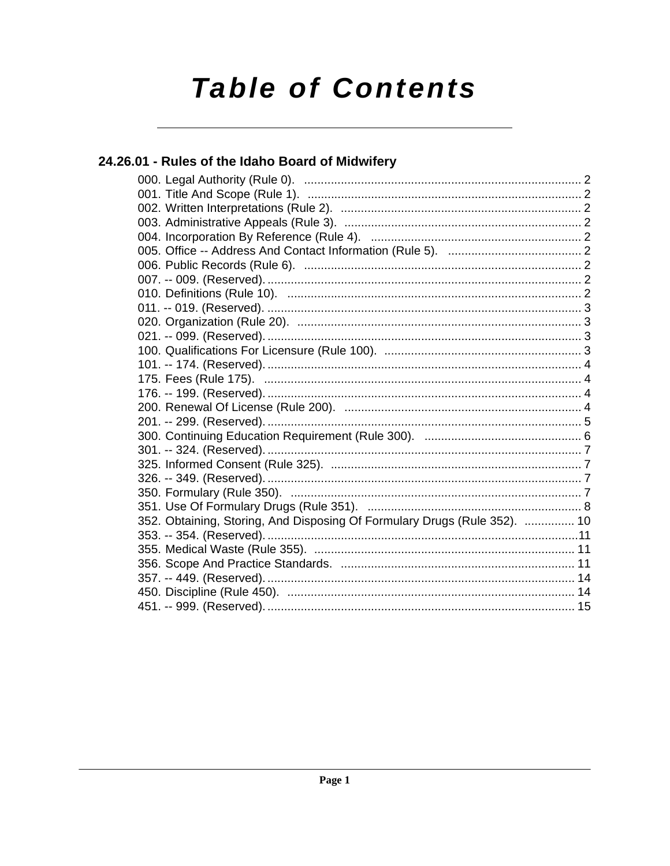# **Table of Contents**

# 24.26.01 - Rules of the Idaho Board of Midwifery

| 352. Obtaining, Storing, And Disposing Of Formulary Drugs (Rule 352).  10 |  |
|---------------------------------------------------------------------------|--|
|                                                                           |  |
|                                                                           |  |
|                                                                           |  |
|                                                                           |  |
|                                                                           |  |
|                                                                           |  |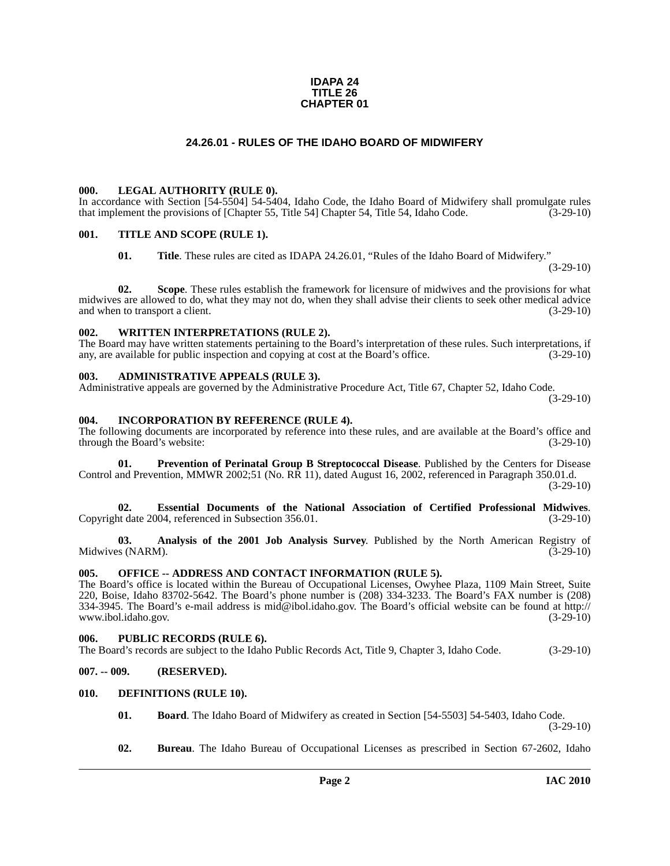### **IDAPA 24 TITLE 26 CHAPTER 01**

# **24.26.01 - RULES OF THE IDAHO BOARD OF MIDWIFERY**

### <span id="page-1-1"></span><span id="page-1-0"></span>**000. LEGAL AUTHORITY (RULE 0).**

In accordance with Section [54-5504] 54-5404, Idaho Code, the Idaho Board of Midwifery shall promulgate rules that implement the provisions of [Chapter 55, Title 54] Chapter 54, Title 54, Idaho Code. (3-29-10)

### <span id="page-1-2"></span>**001. TITLE AND SCOPE (RULE 1).**

**01. Title**. These rules are cited as IDAPA 24.26.01, "Rules of the Idaho Board of Midwifery."  $(3-29-10)$ 

**02. Scope**. These rules establish the framework for licensure of midwives and the provisions for what midwives are allowed to do, what they may not do, when they shall advise their clients to seek other medical advice and when to transport a client. (3-29-10)

### <span id="page-1-3"></span>**002. WRITTEN INTERPRETATIONS (RULE 2).**

The Board may have written statements pertaining to the Board's interpretation of these rules. Such interpretations, if any, are available for public inspection and copying at cost at the Board's office. (3-29-10) any, are available for public inspection and copying at cost at the Board's office.

### <span id="page-1-4"></span>**003. ADMINISTRATIVE APPEALS (RULE 3).**

Administrative appeals are governed by the Administrative Procedure Act, Title 67, Chapter 52, Idaho Code.

(3-29-10)

### <span id="page-1-5"></span>**004. INCORPORATION BY REFERENCE (RULE 4).**

The following documents are incorporated by reference into these rules, and are available at the Board's office and through the Board's website: (3-29-10)

<span id="page-1-14"></span>**01. Prevention of Perinatal Group B Streptococcal Disease**. Published by the Centers for Disease Control and Prevention, MMWR 2002;51 (No. RR 11), dated August 16, 2002, referenced in Paragraph 350.01.d. (3-29-10)

<span id="page-1-13"></span>**02. Essential Documents of the National Association of Certified Professional Midwives**. Copyright date 2004, referenced in Subsection 356.01.

<span id="page-1-10"></span>**03. Analysis of the 2001 Job Analysis Survey**. Published by the North American Registry of s (NARM). Midwives (NARM).

# <span id="page-1-6"></span>**005. OFFICE -- ADDRESS AND CONTACT INFORMATION (RULE 5).**

The Board's office is located within the Bureau of Occupational Licenses, Owyhee Plaza, 1109 Main Street, Suite [220, Boise, Idaho 83702-5642. The Board's phone number is \(208\) 334-3233. The Board's FAX number is \(208\)](mailto:mid@ibol.idaho.gov) [334-3945. The Board's e-mail address is mid@ibol.idaho.gov. The Board's official website can be found at h](mailto:mid@ibol.idaho.gov)[ttp://](http://www.ibol.idaho.gov) [www.ibol.idaho.gov.](http://www.ibol.idaho.gov) (3-29-10)

### <span id="page-1-7"></span>**006. PUBLIC RECORDS (RULE 6).**

The Board's records are subject to the Idaho Public Records Act, Title 9, Chapter 3, Idaho Code. (3-29-10)

# <span id="page-1-8"></span>**007. -- 009. (RESERVED).**

# <span id="page-1-9"></span>**010. DEFINITIONS (RULE 10).**

<span id="page-1-11"></span>**01. Board**. The Idaho Board of Midwifery as created in Section [54-5503] 54-5403, Idaho Code. (3-29-10)

<span id="page-1-12"></span>**02. Bureau**. The Idaho Bureau of Occupational Licenses as prescribed in Section 67-2602, Idaho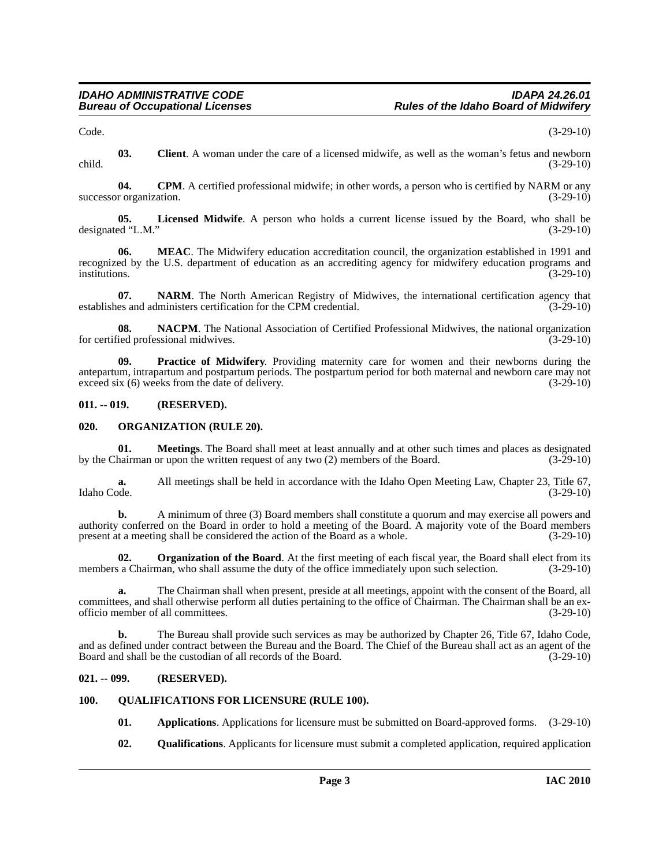<span id="page-2-5"></span>Code. (3-29-10)

**03. Client**. A woman under the care of a licensed midwife, as well as the woman's fetus and newborn child. (3-29-10)

<span id="page-2-6"></span>**04.** CPM. A certified professional midwife; in other words, a person who is certified by NARM or any r organization. (3-29-10) successor organization.

<span id="page-2-7"></span>**05. Licensed Midwife**. A person who holds a current license issued by the Board, who shall be designated "L.M." (3-29-10)

<span id="page-2-8"></span>**06. MEAC**. The Midwifery education accreditation council, the organization established in 1991 and recognized by the U.S. department of education as an accrediting agency for midwifery education programs and institutions. (3-29-10)

<span id="page-2-10"></span>**07. NARM**. The North American Registry of Midwives, the international certification agency that es and administers certification for the CPM credential. (3-29-10) establishes and administers certification for the CPM credential.

<span id="page-2-9"></span>**08. NACPM**. The National Association of Certified Professional Midwives, the national organization is ded professional midwives. (3-29-10) for certified professional midwives.

<span id="page-2-13"></span>**09. Practice of Midwifery**. Providing maternity care for women and their newborns during the antepartum, intrapartum and postpartum periods. The postpartum period for both maternal and newborn care may not exceed six (6) weeks from the date of delivery. (3-29-10) (3-29-10)

# <span id="page-2-0"></span>**011. -- 019. (RESERVED).**

# <span id="page-2-11"></span><span id="page-2-1"></span>**020. ORGANIZATION (RULE 20).**

**01. Meetings**. The Board shall meet at least annually and at other such times and places as designated hairman or upon the written request of any two (2) members of the Board. (3-29-10) by the Chairman or upon the written request of any two  $(2)$  members of the Board.

**a.** All meetings shall be held in accordance with the Idaho Open Meeting Law, Chapter 23, Title 67, Idaho Code. (3-29-10) Idaho Code. (3-29-10)

**b.** A minimum of three (3) Board members shall constitute a quorum and may exercise all powers and authority conferred on the Board in order to hold a meeting of the Board. A majority vote of the Board members present at a meeting shall be considered the action of the Board as a whole. (3-29-10)

<span id="page-2-12"></span>**02. Organization of the Board**. At the first meeting of each fiscal year, the Board shall elect from its members a Chairman, who shall assume the duty of the office immediately upon such selection.  $(3-29-10)$ 

**a.** The Chairman shall when present, preside at all meetings, appoint with the consent of the Board, all committees, and shall otherwise perform all duties pertaining to the office of Chairman. The Chairman shall be an exofficio member of all committees. (3-29-10)

**b.** The Bureau shall provide such services as may be authorized by Chapter 26, Title 67, Idaho Code, and as defined under contract between the Bureau and the Board. The Chief of the Bureau shall act as an agent of the Board and shall be the custodian of all records of the Board. (3-29-10)

# <span id="page-2-2"></span>**021. -- 099. (RESERVED).**

# <span id="page-2-3"></span>**100. QUALIFICATIONS FOR LICENSURE (RULE 100).**

- <span id="page-2-15"></span><span id="page-2-4"></span>**01. Applications**. Applications for licensure must be submitted on Board-approved forms. (3-29-10)
- <span id="page-2-14"></span>**02.** Qualifications. Applicants for licensure must submit a completed application, required application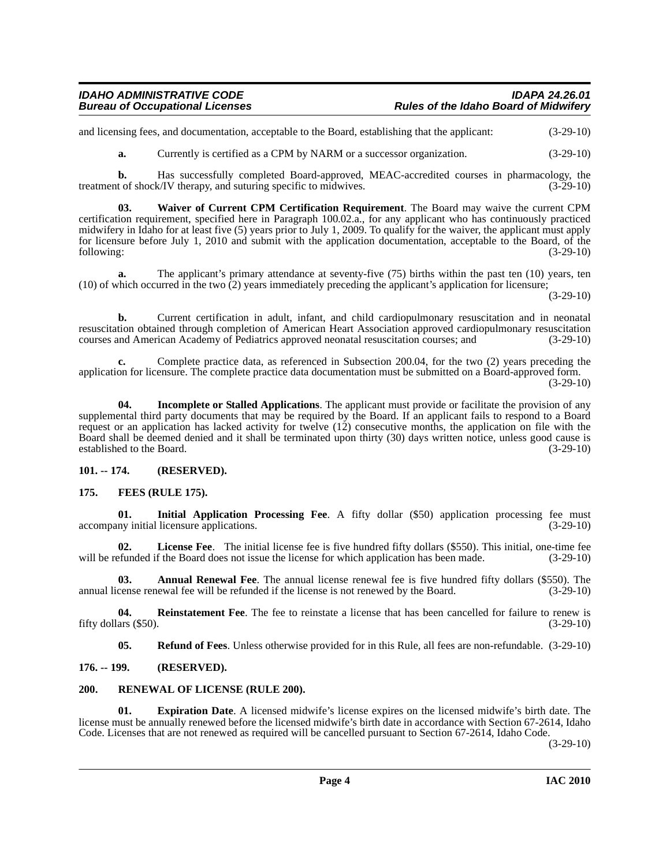and licensing fees, and documentation, acceptable to the Board, establishing that the applicant: (3-29-10)

<span id="page-3-13"></span>**a.** Currently is certified as a CPM by NARM or a successor organization.  $(3-29-10)$ 

**b.** Has successfully completed Board-approved, MEAC-accredited courses in pharmacology, the treatment of shock/IV therapy, and suturing specific to midwives. (3-29-10)

**03. Waiver of Current CPM Certification Requirement**. The Board may waive the current CPM certification requirement, specified here in Paragraph 100.02.a., for any applicant who has continuously practiced midwifery in Idaho for at least five (5) years prior to July 1, 2009. To qualify for the waiver, the applicant must apply for licensure before July 1, 2010 and submit with the application documentation, acceptable to the Board, of the following:<br>(3-29-10) following: (3-29-10)

**a.** The applicant's primary attendance at seventy-five (75) births within the past ten (10) years, ten (10) of which occurred in the two (2) years immediately preceding the applicant's application for licensure;

(3-29-10)

**b.** Current certification in adult, infant, and child cardiopulmonary resuscitation and in neonatal resuscitation obtained through completion of American Heart Association approved cardiopulmonary resuscitation courses and American Academy of Pediatrics approved neonatal resuscitation courses; and (3-29-10)

**c.** Complete practice data, as referenced in Subsection 200.04, for the two (2) years preceding the application for licensure. The complete practice data documentation must be submitted on a Board-approved form.

(3-29-10)

<span id="page-3-7"></span>**04. Incomplete or Stalled Applications**. The applicant must provide or facilitate the provision of any supplemental third party documents that may be required by the Board. If an applicant fails to respond to a Board request or an application has lacked activity for twelve (12) consecutive months, the application on file with the Board shall be deemed denied and it shall be terminated upon thirty (30) days written notice, unless good cause is established to the Board. (3-29-10)

<span id="page-3-0"></span>**101. -- 174. (RESERVED).**

# <span id="page-3-6"></span><span id="page-3-1"></span>**175. FEES (RULE 175).**

<span id="page-3-8"></span>**01.** Initial Application Processing Fee. A fifty dollar (\$50) application processing fee must ny initial licensure applications. (3-29-10) accompany initial licensure applications.

<span id="page-3-9"></span>**02.** License Fee. The initial license fee is five hundred fifty dollars (\$550). This initial, one-time fee funded if the Board does not issue the license for which application has been made. (3-29-10) will be refunded if the Board does not issue the license for which application has been made.

<span id="page-3-4"></span>**03. Annual Renewal Fee**. The annual license renewal fee is five hundred fifty dollars (\$550). The annual license renewal fee will be refunded if the license is not renewed by the Board. (3-29-10)

**04.** Reinstatement Fee. The fee to reinstate a license that has been cancelled for failure to renew is ars (\$50).  $(3-29-10)$ fifty dollars  $(\$50)$ .

<span id="page-3-12"></span><span id="page-3-11"></span><span id="page-3-10"></span><span id="page-3-5"></span>**05. Refund of Fees**. Unless otherwise provided for in this Rule, all fees are non-refundable. (3-29-10)

<span id="page-3-2"></span>**176. -- 199. (RESERVED).**

### <span id="page-3-3"></span>**200. RENEWAL OF LICENSE (RULE 200).**

**01. Expiration Date**. A licensed midwife's license expires on the licensed midwife's birth date. The license must be annually renewed before the licensed midwife's birth date in accordance with Section 67-2614, Idaho Code. Licenses that are not renewed as required will be cancelled pursuant to Section 67-2614, Idaho Code.

(3-29-10)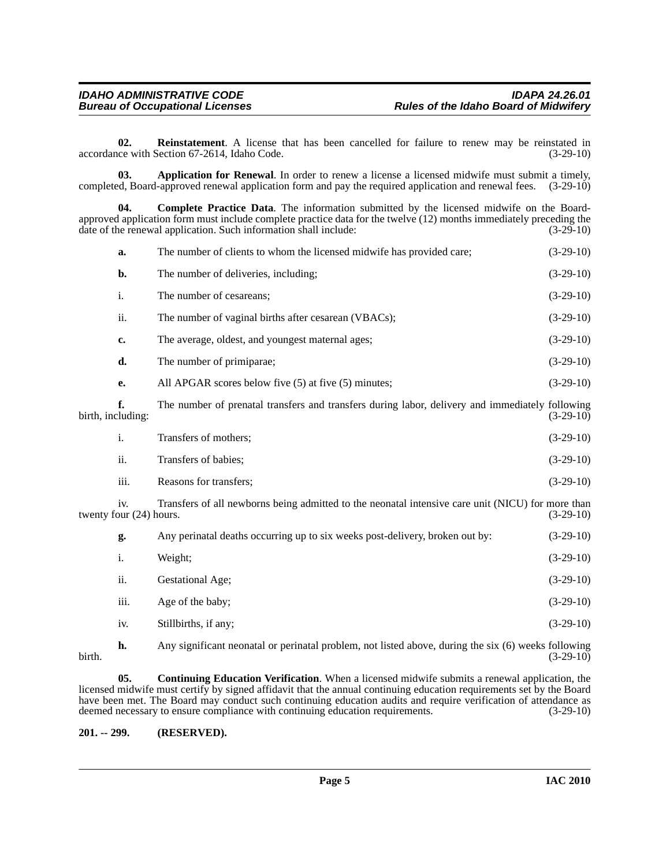<span id="page-4-4"></span>**02.** Reinstatement. A license that has been cancelled for failure to renew may be reinstated in (3-29-10) (3-29-10) accordance with Section 67-2614, Idaho Code.

<span id="page-4-1"></span>**03. Application for Renewal**. In order to renew a license a licensed midwife must submit a timely, completed, Board-approved renewal application form and pay the required application and renewal fees. (3-29-10)

<span id="page-4-2"></span>**04. Complete Practice Data**. The information submitted by the licensed midwife on the Boardapproved application form must include complete practice data for the twelve (12) months immediately preceding the date of the renewal application. Such information shall include: (3-29-10) (3-29-10)

|                   | a.                             | The number of clients to whom the licensed midwife has provided care;                                                 | $(3-29-10)$ |
|-------------------|--------------------------------|-----------------------------------------------------------------------------------------------------------------------|-------------|
|                   | b.                             | The number of deliveries, including;                                                                                  | $(3-29-10)$ |
|                   | i.                             | The number of cesareans;                                                                                              | $(3-29-10)$ |
|                   | ii.                            | The number of vaginal births after cesarean (VBACs);                                                                  | $(3-29-10)$ |
|                   | c.                             | The average, oldest, and youngest maternal ages;                                                                      | $(3-29-10)$ |
|                   | d.                             | The number of primiparae;                                                                                             | $(3-29-10)$ |
|                   | e.                             | All APGAR scores below five (5) at five (5) minutes;                                                                  | $(3-29-10)$ |
| birth, including: | f.                             | The number of prenatal transfers and transfers during labor, delivery and immediately following                       | $(3-29-10)$ |
|                   | i.                             | Transfers of mothers;                                                                                                 | $(3-29-10)$ |
|                   | ii.                            | Transfers of babies;                                                                                                  | $(3-29-10)$ |
|                   | iii.                           | Reasons for transfers;                                                                                                | $(3-29-10)$ |
|                   | iv.<br>twenty four (24) hours. | Transfers of all newborns being admitted to the neonatal intensive care unit (NICU) for more than                     | $(3-29-10)$ |
|                   | g.                             | Any perinatal deaths occurring up to six weeks post-delivery, broken out by:                                          | $(3-29-10)$ |
|                   | i.                             | Weight;                                                                                                               | $(3-29-10)$ |
|                   | ii.                            | Gestational Age;                                                                                                      | $(3-29-10)$ |
|                   | iii.                           | Age of the baby;                                                                                                      | $(3-29-10)$ |
|                   | iv.                            | Stillbirths, if any;                                                                                                  | $(3-29-10)$ |
|                   |                                | $\Lambda$ are significant permetal or peripatel problem, not listed above during the six $(\epsilon)$ weeks following |             |

<span id="page-4-3"></span>

**h.** Any significant neonatal or perinatal problem, not listed above, during the six (6) weeks following (3-29-10) birth. (3-29-10)

**05. Continuing Education Verification**. When a licensed midwife submits a renewal application, the licensed midwife must certify by signed affidavit that the annual continuing education requirements set by the Board have been met. The Board may conduct such continuing education audits and require verification of attendance as deemed necessary to ensure compliance with continuing education requirements. (3-29-10)

<span id="page-4-0"></span>**201. -- 299. (RESERVED).**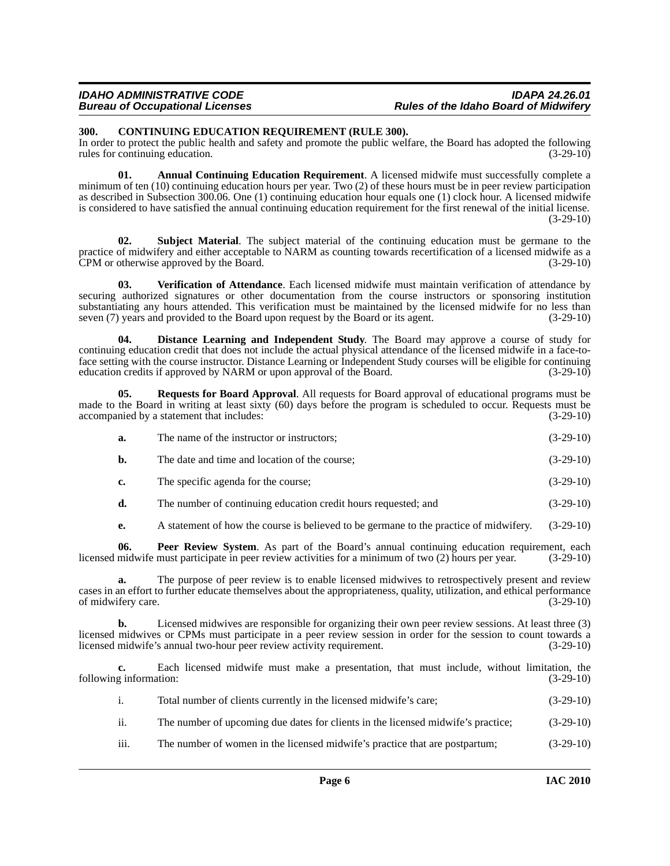# <span id="page-5-2"></span><span id="page-5-0"></span>**300. CONTINUING EDUCATION REQUIREMENT (RULE 300).**

In order to protect the public health and safety and promote the public welfare, the Board has adopted the following rules for continuing education. (3-29-10)

<span id="page-5-1"></span>**01. Annual Continuing Education Requirement**. A licensed midwife must successfully complete a minimum of ten (10) continuing education hours per year. Two (2) of these hours must be in peer review participation as described in Subsection 300.06. One (1) continuing education hour equals one (1) clock hour. A licensed midwife is considered to have satisfied the annual continuing education requirement for the first renewal of the initial license.  $(3-29-10)$ 

<span id="page-5-6"></span>**02. Subject Material**. The subject material of the continuing education must be germane to the practice of midwifery and either acceptable to NARM as counting towards recertification of a licensed midwife as a<br>CPM or otherwise approved by the Board. (3-29-10) CPM or otherwise approved by the Board.

<span id="page-5-7"></span>**03. Verification of Attendance**. Each licensed midwife must maintain verification of attendance by securing authorized signatures or other documentation from the course instructors or sponsoring institution substantiating any hours attended. This verification must be maintained by the licensed midwife for no less than seven (7) years and provided to the Board upon request by the Board or its agent. (3-29-10)

<span id="page-5-3"></span>**04. Distance Learning and Independent Study**. The Board may approve a course of study for continuing education credit that does not include the actual physical attendance of the licensed midwife in a face-toface setting with the course instructor. Distance Learning or Independent Study courses will be eligible for continuing education credits if approved by NARM or upon approval of the Board. (3-29-10) education credits if approved by NARM or upon approval of the Board.

**05. Requests for Board Approval**. All requests for Board approval of educational programs must be made to the Board in writing at least sixty (60) days before the program is scheduled to occur. Requests must be accompanied by a statement that includes: (3-29-10)

<span id="page-5-5"></span>

| a. | The name of the instructor or instructors; | $(3-29-10)$ |
|----|--------------------------------------------|-------------|
|    |                                            |             |

- **b.** The date and time and location of the course; (3-29-10)
- **c.** The specific agenda for the course; (3-29-10)
- **d.** The number of continuing education credit hours requested; and (3-29-10)
- <span id="page-5-4"></span>**e.** A statement of how the course is believed to be germane to the practice of midwifery. (3-29-10)

**06. Peer Review System**. As part of the Board's annual continuing education requirement, each midwife must participate in peer review activities for a minimum of two (2) hours per year. (3-29-10) licensed midwife must participate in peer review activities for a minimum of two (2) hours per year.

**a.** The purpose of peer review is to enable licensed midwives to retrospectively present and review cases in an effort to further educate themselves about the appropriateness, quality, utilization, and ethical performance of midwifery care.

**b.** Licensed midwives are responsible for organizing their own peer review sessions. At least three (3) licensed midwives or CPMs must participate in a peer review session in order for the session to count towards a licensed midwife's annual two-hour peer review activity requirement. (3-29-10)

**c.** Each licensed midwife must make a presentation, that must include, without limitation, the following information:  $(3-29-10)$ 

|  | Total number of clients currently in the licensed midwife's care; | $(3-29-10)$ |
|--|-------------------------------------------------------------------|-------------|
|--|-------------------------------------------------------------------|-------------|

- ii. The number of upcoming due dates for clients in the licensed midwife's practice; (3-29-10)
- iii. The number of women in the licensed midwife's practice that are postpartum; (3-29-10)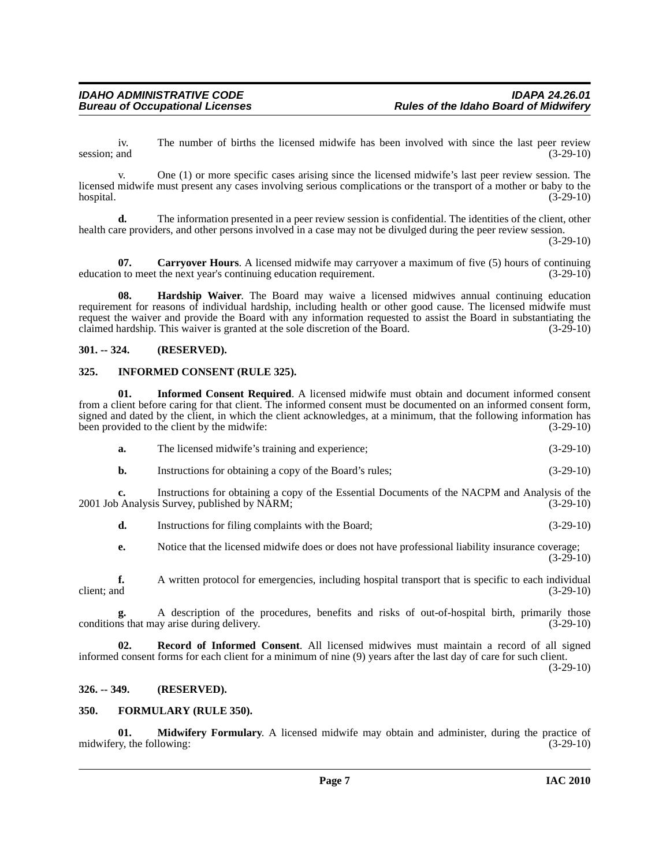iv. The number of births the licensed midwife has been involved with since the last peer review and (3-29-10) session; and  $(3-29-10)$ 

v. One (1) or more specific cases arising since the licensed midwife's last peer review session. The licensed midwife must present any cases involving serious complications or the transport of a mother or baby to the hospital. (3-29-10)  $h$ ospital.  $(3-29-10)$ 

**d.** The information presented in a peer review session is confidential. The identities of the client, other health care providers, and other persons involved in a case may not be divulged during the peer review session.

(3-29-10)

<span id="page-6-4"></span>**07.** Carryover Hours. A licensed midwife may carryover a maximum of five (5) hours of continuing education to meet the next year's continuing education requirement. (3-29-10)

<span id="page-6-6"></span>**08. Hardship Waiver**. The Board may waive a licensed midwives annual continuing education requirement for reasons of individual hardship, including health or other good cause. The licensed midwife must request the waiver and provide the Board with any information requested to assist the Board in substantiating the claimed hardship. This waiver is granted at the sole discretion of the Board. (3-29-10)

# <span id="page-6-0"></span>**301. -- 324. (RESERVED).**

# <span id="page-6-7"></span><span id="page-6-1"></span>**325. INFORMED CONSENT (RULE 325).**

**01. Informed Consent Required**. A licensed midwife must obtain and document informed consent from a client before caring for that client. The informed consent must be documented on an informed consent form, signed and dated by the client, in which the client acknowledges, at a minimum, that the following information has been provided to the client by the midwife: (3-29-10) been provided to the client by the midwife:

<span id="page-6-8"></span>

| a. | The licensed midwife's training and experience; | $(3-29-10)$ |
|----|-------------------------------------------------|-------------|

**b.** Instructions for obtaining a copy of the Board's rules; (3-29-10)

**c.** Instructions for obtaining a copy of the Essential Documents of the NACPM and Analysis of the Analysis Survey, published by NARM; 2001 Job Analysis Survey, published by  $NARM$ ;

**d.** Instructions for filing complaints with the Board; (3-29-10)

**e.** Notice that the licensed midwife does or does not have professional liability insurance coverage;  $(3-29-10)$ 

**f.** A written protocol for emergencies, including hospital transport that is specific to each individual client; and  $(3-29-10)$ 

A description of the procedures, benefits and risks of out-of-hospital birth, primarily those av arise during delivery.  $(3-29-10)$ conditions that may arise during delivery.

<span id="page-6-10"></span>**02. Record of Informed Consent**. All licensed midwives must maintain a record of all signed informed consent forms for each client for a minimum of nine (9) years after the last day of care for such client.

(3-29-10)

# <span id="page-6-2"></span>**326. -- 349. (RESERVED).**

# <span id="page-6-5"></span><span id="page-6-3"></span>**350. FORMULARY (RULE 350).**

<span id="page-6-9"></span>**01. Midwifery Formulary**. A licensed midwife may obtain and administer, during the practice of midwifery, the following: (3-29-10) (3-29-10)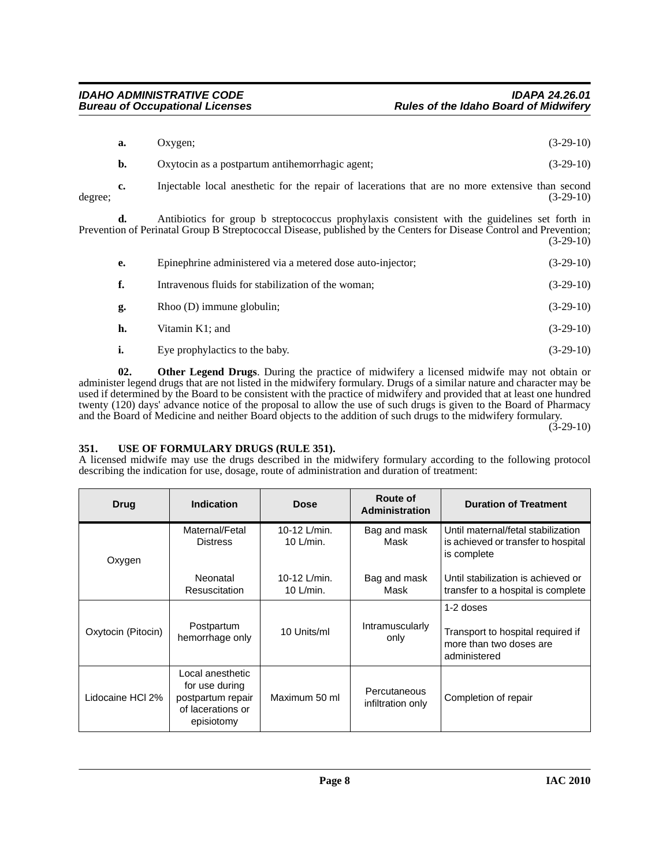| а. | Oxvgen                                                                                           | $(3-29-10)$ |
|----|--------------------------------------------------------------------------------------------------|-------------|
|    | Oxytocin as a postpartum antihemorrhagic agent;                                                  | $(3-29-10)$ |
|    | Injectable local anesthetic for the repair of lacerations that are no more extensive than second |             |

degree; (3-29-10)

**d.** Antibiotics for group b streptococcus prophylaxis consistent with the guidelines set forth in Prevention of Perinatal Group B Streptococcal Disease, published by the Centers for Disease Control and Prevention; (3-29-10)

| е. | Epinephrine administered via a metered dose auto-injector; | $(3-29-10)$ |
|----|------------------------------------------------------------|-------------|
| f. | Intravenous fluids for stabilization of the woman;         | $(3-29-10)$ |
| g. | $Rhoo$ (D) immune globulin;                                | $(3-29-10)$ |
| h. | Vitamin K1; and                                            | $(3-29-10)$ |
| i. | Eye prophylactics to the baby.                             | $(3-29-10)$ |

<span id="page-7-1"></span>**02. Other Legend Drugs**. During the practice of midwifery a licensed midwife may not obtain or administer legend drugs that are not listed in the midwifery formulary. Drugs of a similar nature and character may be used if determined by the Board to be consistent with the practice of midwifery and provided that at least one hundred twenty (120) days' advance notice of the proposal to allow the use of such drugs is given to the Board of Pharmacy and the Board of Medicine and neither Board objects to the addition of such drugs to the midwifery formulary.

 $(3-29-10)$ 

# <span id="page-7-2"></span><span id="page-7-0"></span>**351. USE OF FORMULARY DRUGS (RULE 351).**

A licensed midwife may use the drugs described in the midwifery formulary according to the following protocol describing the indication for use, dosage, route of administration and duration of treatment:

| <b>Drug</b>        | <b>Indication</b>                                                                          | <b>Dose</b>                  | Route of<br>Administration        | <b>Duration of Treatment</b>                                                              |
|--------------------|--------------------------------------------------------------------------------------------|------------------------------|-----------------------------------|-------------------------------------------------------------------------------------------|
| Oxygen             | Maternal/Fetal<br><b>Distress</b>                                                          | 10-12 L/min.<br>10 $L/min$ . | Bag and mask<br>Mask              | Until maternal/fetal stabilization<br>is achieved or transfer to hospital<br>is complete  |
|                    | Neonatal<br><b>Resuscitation</b>                                                           | 10-12 L/min.<br>10 $L/min$ . | Bag and mask<br>Mask              | Until stabilization is achieved or<br>transfer to a hospital is complete                  |
| Oxytocin (Pitocin) | Postpartum<br>hemorrhage only                                                              | 10 Units/ml                  | Intramuscularly<br>only           | 1-2 doses<br>Transport to hospital required if<br>more than two doses are<br>administered |
| Lidocaine HCI 2%   | Local anesthetic<br>for use during<br>postpartum repair<br>of lacerations or<br>episiotomy | Maximum 50 ml                | Percutaneous<br>infiltration only | Completion of repair                                                                      |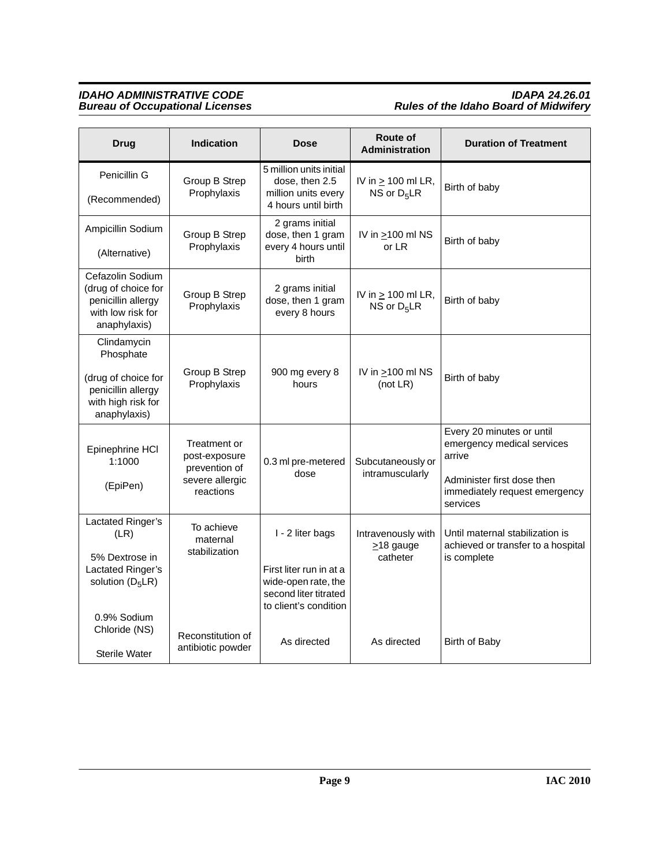# *IDAHO ADMINISTRATIVE CODE IDAPA 24.26.01 Bureau of Occupational Licenses Rules of the Idaho Board of Midwifery*

| <b>Drug</b>                                                                                                 | <b>Indication</b>                                                              | Dose                                                                                                                 | Route of<br><b>Administration</b>                 | <b>Duration of Treatment</b>                                                                                                                 |
|-------------------------------------------------------------------------------------------------------------|--------------------------------------------------------------------------------|----------------------------------------------------------------------------------------------------------------------|---------------------------------------------------|----------------------------------------------------------------------------------------------------------------------------------------------|
| Penicillin G<br>(Recommended)                                                                               | Group B Strep<br>Prophylaxis                                                   | 5 million units initial<br>dose, then 2.5<br>million units every<br>4 hours until birth                              | IV in $\geq$ 100 ml LR,<br>NS or $D_5LR$          | Birth of baby                                                                                                                                |
| Ampicillin Sodium<br>(Alternative)                                                                          | Group B Strep<br>Prophylaxis                                                   | 2 grams initial<br>dose, then 1 gram<br>every 4 hours until<br>birth                                                 | IV in $\geq$ 100 ml NS<br>or LR                   | Birth of baby                                                                                                                                |
| Cefazolin Sodium<br>(drug of choice for<br>penicillin allergy<br>with low risk for<br>anaphylaxis)          | Group B Strep<br>Prophylaxis                                                   | 2 grams initial<br>dose, then 1 gram<br>every 8 hours                                                                | IV in $\geq$ 100 ml LR,<br>NS or $D_5LR$          | Birth of baby                                                                                                                                |
| Clindamycin<br>Phosphate<br>(drug of choice for<br>penicillin allergy<br>with high risk for<br>anaphylaxis) | Group B Strep<br>Prophylaxis                                                   | 900 mg every 8<br>hours                                                                                              | IV in $\geq$ 100 ml NS<br>(not $LR$ )             | Birth of baby                                                                                                                                |
| Epinephrine HCI<br>1:1000<br>(EpiPen)                                                                       | Treatment or<br>post-exposure<br>prevention of<br>severe allergic<br>reactions | 0.3 ml pre-metered<br>dose                                                                                           | Subcutaneously or<br>intramuscularly              | Every 20 minutes or until<br>emergency medical services<br>arrive<br>Administer first dose then<br>immediately request emergency<br>services |
| Lactated Ringer's<br>(LR)<br>5% Dextrose in<br>Lactated Ringer's<br>solution $(D_5LR)$<br>0.9% Sodium       | To achieve<br>maternal<br>stabilization                                        | I - 2 liter bags<br>First liter run in at a<br>wide-open rate, the<br>second liter titrated<br>to client's condition | Intravenously with<br>$\geq$ 18 gauge<br>catheter | Until maternal stabilization is<br>achieved or transfer to a hospital<br>is complete                                                         |
| Chloride (NS)<br><b>Sterile Water</b>                                                                       | Reconstitution of<br>antibiotic powder                                         | As directed                                                                                                          | As directed                                       | Birth of Baby                                                                                                                                |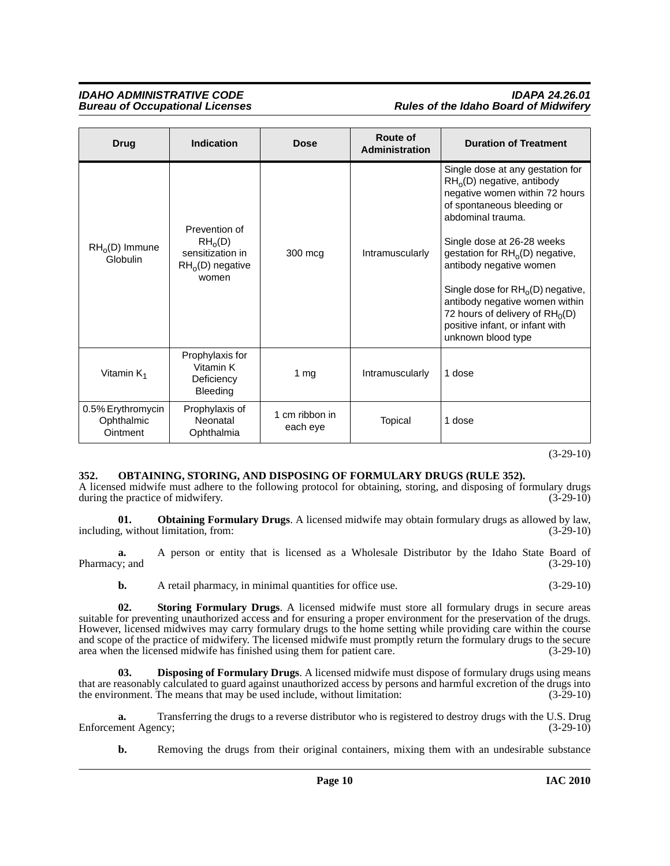| <b>Drug</b>                                 | <b>Indication</b>                                                               | <b>Dose</b>                | Route of<br><b>Administration</b> | <b>Duration of Treatment</b>                                                                                                                                                                                                                                                                                                                                                                                              |
|---------------------------------------------|---------------------------------------------------------------------------------|----------------------------|-----------------------------------|---------------------------------------------------------------------------------------------------------------------------------------------------------------------------------------------------------------------------------------------------------------------------------------------------------------------------------------------------------------------------------------------------------------------------|
| $RHo(D)$ Immune<br>Globulin                 | Prevention of<br>$RH_0(D)$<br>sensitization in<br>$RH_{0}(D)$ negative<br>women | 300 mcg                    | Intramuscularly                   | Single dose at any gestation for<br>$RHo(D)$ negative, antibody<br>negative women within 72 hours<br>of spontaneous bleeding or<br>abdominal trauma.<br>Single dose at 26-28 weeks<br>gestation for $RH_0(D)$ negative,<br>antibody negative women<br>Single dose for $RH_0(D)$ negative,<br>antibody negative women within<br>72 hours of delivery of $RH_0(D)$<br>positive infant, or infant with<br>unknown blood type |
| Vitamin K <sub>1</sub>                      | Prophylaxis for<br>Vitamin K<br>Deficiency<br>Bleeding                          | 1 $mg$                     | Intramuscularly                   | 1 dose                                                                                                                                                                                                                                                                                                                                                                                                                    |
| 0.5% Erythromycin<br>Ophthalmic<br>Ointment | Prophylaxis of<br>Neonatal<br>Ophthalmia                                        | 1 cm ribbon in<br>each eye | Topical                           | 1 dose                                                                                                                                                                                                                                                                                                                                                                                                                    |

(3-29-10)

# <span id="page-9-3"></span><span id="page-9-0"></span>**352. OBTAINING, STORING, AND DISPOSING OF FORMULARY DRUGS (RULE 352).**

A licensed midwife must adhere to the following protocol for obtaining, storing, and disposing of formulary drugs during the practice of midwifery. (3-29-10) during the practice of midwifery.

<span id="page-9-2"></span>**01. Obtaining Formulary Drugs**. A licensed midwife may obtain formulary drugs as allowed by law, including, without limitation, from: (3-29-10)

**a.** A person or entity that is licensed as a Wholesale Distributor by the Idaho State Board of Pharmacy; and (3-29-10) (3-29-10)

<span id="page-9-4"></span>**b.** A retail pharmacy, in minimal quantities for office use. (3-29-10)

**02. Storing Formulary Drugs**. A licensed midwife must store all formulary drugs in secure areas suitable for preventing unauthorized access and for ensuring a proper environment for the preservation of the drugs. However, licensed midwives may carry formulary drugs to the home setting while providing care within the course and scope of the practice of midwifery. The licensed midwife must promptly return the formulary drugs to the secure area when the licensed midwife has finished using them for patient care. (3-29-10)

<span id="page-9-1"></span>**03. Disposing of Formulary Drugs**. A licensed midwife must dispose of formulary drugs using means that are reasonably calculated to guard against unauthorized access by persons and harmful excretion of the drugs into the environment. The means that may be used include, without limitation: (3-29-10)

**a.** Transferring the drugs to a reverse distributor who is registered to destroy drugs with the U.S. Drug Enforcement Agency; (3-29-10)

**b.** Removing the drugs from their original containers, mixing them with an undesirable substance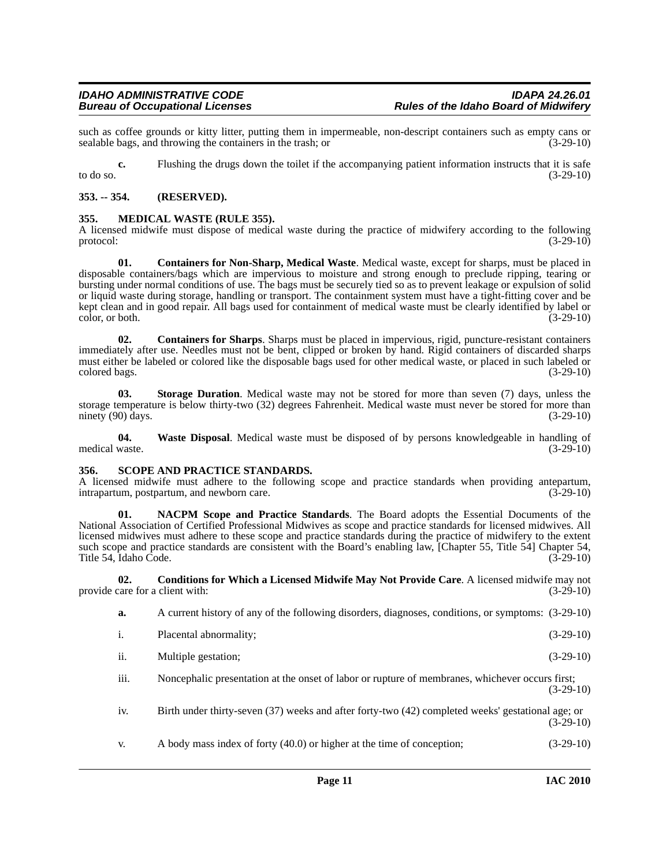such as coffee grounds or kitty litter, putting them in impermeable, non-descript containers such as empty cans or sealable bags, and throwing the containers in the trash; or  $(3-29-10)$ sealable bags, and throwing the containers in the trash; or

**c.** Flushing the drugs down the toilet if the accompanying patient information instructs that it is safe to do so.  $(3-29-10)$ 

# <span id="page-10-0"></span>**353. -- 354. (RESERVED).**

# <span id="page-10-6"></span><span id="page-10-1"></span>**355. MEDICAL WASTE (RULE 355).**

A licensed midwife must dispose of medical waste during the practice of midwifery according to the following protocol:  $(3-29-10)$ protocol:  $(3-29-10)$ 

<span id="page-10-4"></span>**01. Containers for Non-Sharp, Medical Waste**. Medical waste, except for sharps, must be placed in disposable containers/bags which are impervious to moisture and strong enough to preclude ripping, tearing or bursting under normal conditions of use. The bags must be securely tied so as to prevent leakage or expulsion of solid or liquid waste during storage, handling or transport. The containment system must have a tight-fitting cover and be kept clean and in good repair. All bags used for containment of medical waste must be clearly identified by label or  $\frac{\text{color}}{\text{color}}$  color, or both. (3-29-10)

<span id="page-10-5"></span>**02. Containers for Sharps**. Sharps must be placed in impervious, rigid, puncture-resistant containers immediately after use. Needles must not be bent, clipped or broken by hand. Rigid containers of discarded sharps must either be labeled or colored like the disposable bags used for other medical waste, or placed in such labeled or colored bags. (3-29-10) colored bags.

<span id="page-10-9"></span>**03. Storage Duration**. Medical waste may not be stored for more than seven (7) days, unless the storage temperature is below thirty-two (32) degrees Fahrenheit. Medical waste must never be stored for more than ninety (90) days. (3-29-10)

<span id="page-10-10"></span>**04. Waste Disposal**. Medical waste must be disposed of by persons knowledgeable in handling of medical waste. (3-29-10)

# <span id="page-10-8"></span><span id="page-10-2"></span>**356. SCOPE AND PRACTICE STANDARDS.**

A licensed midwife must adhere to the following scope and practice standards when providing antepartum, intrapartum, postpartum, and newborn care. (3-29-10)

<span id="page-10-7"></span>**01. NACPM Scope and Practice Standards**. The Board adopts the Essential Documents of the National Association of Certified Professional Midwives as scope and practice standards for licensed midwives. All licensed midwives must adhere to these scope and practice standards during the practice of midwifery to the extent such scope and practice standards are consistent with the Board's enabling law, [Chapter 55, Title 54] Chapter 54, Title 54, Idaho Code. (3-29-10) Title 54, Idaho Code.

**02. Conditions for Which a Licensed Midwife May Not Provide Care**. A licensed midwife may not provide care for a client with: (3-29-10)

- <span id="page-10-3"></span>**a.** A current history of any of the following disorders, diagnoses, conditions, or symptoms: (3-29-10)
- i. Placental abnormality; (3-29-10)
- ii. Multiple gestation; (3-29-10)

iii. Noncephalic presentation at the onset of labor or rupture of membranes, whichever occurs first;  $(3-29-10)$ 

- iv. Birth under thirty-seven (37) weeks and after forty-two (42) completed weeks' gestational age; or  $(3-29-10)$
- v. A body mass index of forty (40.0) or higher at the time of conception; (3-29-10)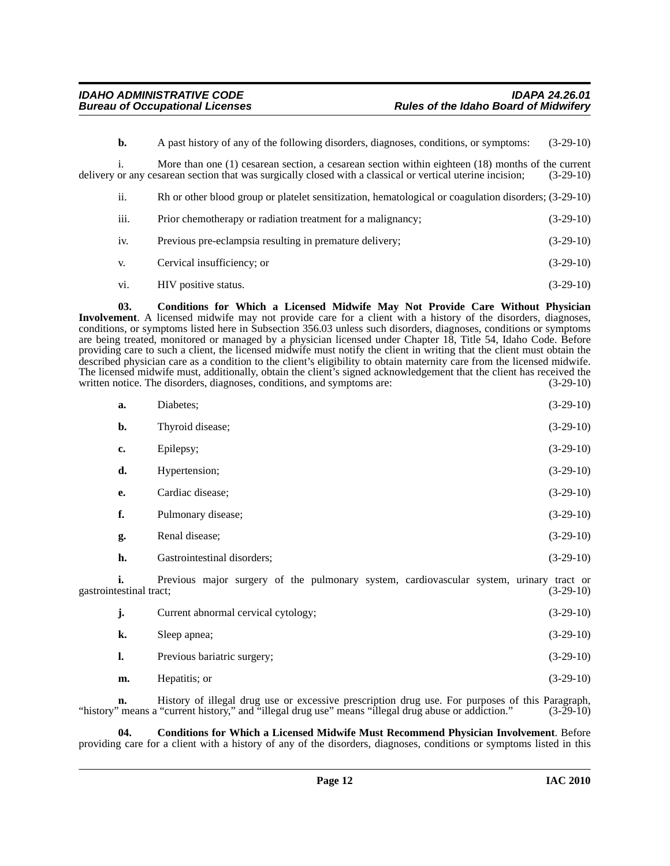**b.** A past history of any of the following disorders, diagnoses, conditions, or symptoms:  $(3-29-10)$ 

i. More than one (1) cesarean section, a cesarean section within eighteen (18) months of the current delivery or any cesarean section that was surgically closed with a classical or vertical uterine incision; (3-29-10)

| 11.              | Rh or other blood group or platelet sensitization, hematological or coagulation disorders; (3-29-10) |             |
|------------------|------------------------------------------------------------------------------------------------------|-------------|
| $\cdots$<br>111. | Prior chemotherapy or radiation treatment for a malignancy;                                          | $(3-29-10)$ |
| 1V.              | Previous pre-eclampsia resulting in premature delivery;                                              | $(3-29-10)$ |

- v. Cervical insufficiency; or (3-29-10)
- <span id="page-11-0"></span>vi. HIV positive status. (3-29-10)

**03. Conditions for Which a Licensed Midwife May Not Provide Care Without Physician Involvement**. A licensed midwife may not provide care for a client with a history of the disorders, diagnoses, conditions, or symptoms listed here in Subsection 356.03 unless such disorders, diagnoses, conditions or symptoms are being treated, monitored or managed by a physician licensed under Chapter 18, Title 54, Idaho Code. Before providing care to such a client, the licensed midwife must notify the client in writing that the client must obtain the described physician care as a condition to the client's eligibility to obtain maternity care from the licensed midwife. The licensed midwife must, additionally, obtain the client's signed acknowledgement that the client has received the written notice. The disorders, diagnoses, conditions, and symptoms are: (3-29-10)

| a.                            | Diabetes;                                                                               | $(3-29-10)$ |
|-------------------------------|-----------------------------------------------------------------------------------------|-------------|
| b.                            | Thyroid disease;                                                                        | $(3-29-10)$ |
| c.                            | Epilepsy;                                                                               | $(3-29-10)$ |
| d.                            | Hypertension;                                                                           | $(3-29-10)$ |
| e.                            | Cardiac disease;                                                                        | $(3-29-10)$ |
| f.                            | Pulmonary disease;                                                                      | $(3-29-10)$ |
| g.                            | Renal disease;                                                                          | $(3-29-10)$ |
| h.                            | Gastrointestinal disorders;                                                             | $(3-29-10)$ |
| i.<br>gastrointestinal tract; | Previous major surgery of the pulmonary system, cardiovascular system, urinary tract or | $(3-29-10)$ |
| j.                            | Current abnormal cervical cytology;                                                     | $(3-29-10)$ |
| k.                            | Sleep apnea;                                                                            | $(3-29-10)$ |
| 1.                            | Previous bariatric surgery;                                                             | $(3-29-10)$ |
| m.                            | Hepatitis; or                                                                           | $(3-29-10)$ |

**n.** History of illegal drug use or excessive prescription drug use. For purposes of this Paragraph, "history" means a "current history," and "illegal drug use" means "illegal drug abuse or addiction." (3-29-10)

<span id="page-11-1"></span>**04. Conditions for Which a Licensed Midwife Must Recommend Physician Involvement**. Before providing care for a client with a history of any of the disorders, diagnoses, conditions or symptoms listed in this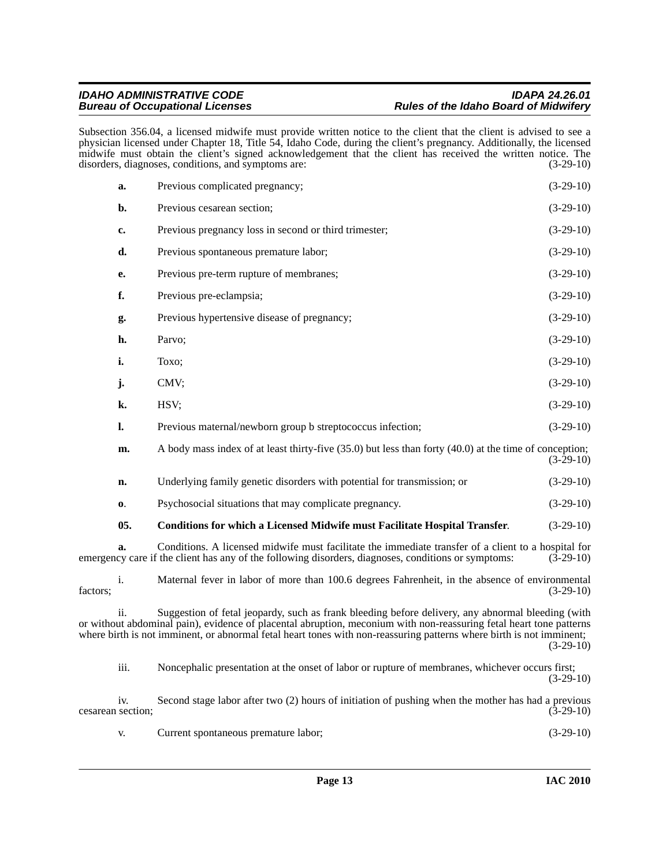Subsection 356.04, a licensed midwife must provide written notice to the client that the client is advised to see a physician licensed under Chapter 18, Title 54, Idaho Code, during the client's pregnancy. Additionally, the licensed midwife must obtain the client's signed acknowledgement that the client has received the written notice. The disorders, diagnoses, conditions, and symptoms are: (3-29-10) disorders, diagnoses, conditions, and symptoms are:

| a.             | Previous complicated pregnancy;                                                                        | $(3-29-10)$ |
|----------------|--------------------------------------------------------------------------------------------------------|-------------|
| $\mathbf{b}$ . | Previous cesarean section;                                                                             | $(3-29-10)$ |
| c.             | Previous pregnancy loss in second or third trimester;                                                  | $(3-29-10)$ |
| d.             | Previous spontaneous premature labor;                                                                  | $(3-29-10)$ |
| е.             | Previous pre-term rupture of membranes;                                                                | $(3-29-10)$ |
| f.             | Previous pre-eclampsia;                                                                                | $(3-29-10)$ |
| g.             | Previous hypertensive disease of pregnancy;                                                            | $(3-29-10)$ |
| h.             | Parvo;                                                                                                 | $(3-29-10)$ |
| i.             | Toxo;                                                                                                  | $(3-29-10)$ |
| j.             | CMV;                                                                                                   | $(3-29-10)$ |
| k.             | HSV;                                                                                                   | $(3-29-10)$ |
| l.             | Previous maternal/newborn group b streptococcus infection;                                             | $(3-29-10)$ |
| m.             | A body mass index of at least thirty-five (35.0) but less than forty (40.0) at the time of conception; | $(3-29-10)$ |
| n.             | Underlying family genetic disorders with potential for transmission; or                                | $(3-29-10)$ |
| 0.             | Psychosocial situations that may complicate pregnancy.                                                 | $(3-29-10)$ |
| 05.            | <b>Conditions for which a Licensed Midwife must Facilitate Hospital Transfer.</b>                      | $(3-29-10)$ |
| a.             | Conditions. A licensed midwife must facilitate the immediate transfer of a client to a hospital for    |             |

<span id="page-12-0"></span>emergency care if the client has any of the following disorders, diagnoses, conditions or symptoms: (3-29-10)

i. Maternal fever in labor of more than 100.6 degrees Fahrenheit, in the absence of environmental  $factors;$  (3-29-10)

ii. Suggestion of fetal jeopardy, such as frank bleeding before delivery, any abnormal bleeding (with or without abdominal pain), evidence of placental abruption, meconium with non-reassuring fetal heart tone patterns where birth is not imminent, or abnormal fetal heart tones with non-reassuring patterns where birth is not imminent; (3-29-10)

iii. Noncephalic presentation at the onset of labor or rupture of membranes, whichever occurs first; (3-29-10)

iv. Second stage labor after two (2) hours of initiation of pushing when the mother has had a previous cesarean section; (3-29-10)

v. Current spontaneous premature labor; (3-29-10)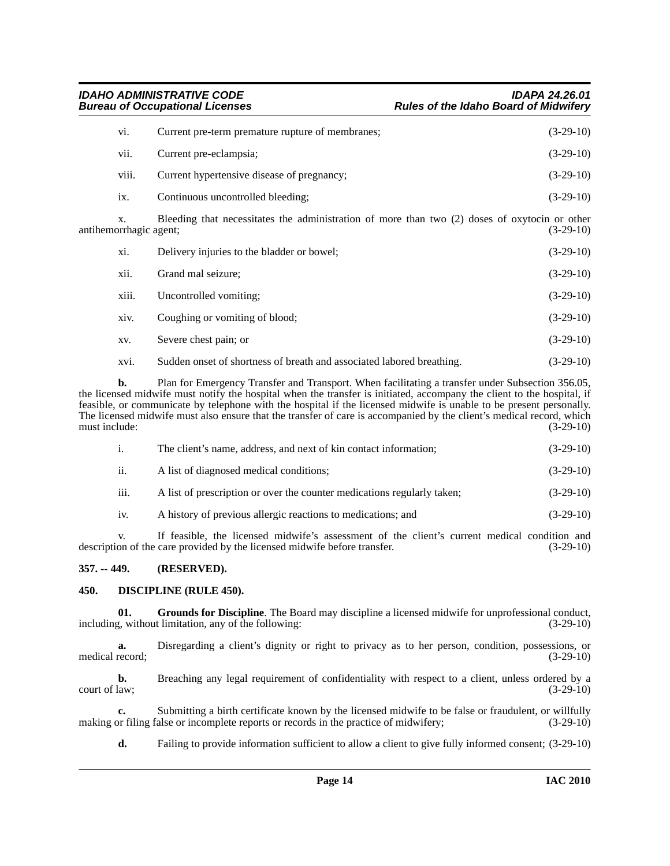| vi.   | Current pre-term premature rupture of membranes;                                                | $(3-29-10)$ |
|-------|-------------------------------------------------------------------------------------------------|-------------|
| vii.  | Current pre-eclampsia;                                                                          | $(3-29-10)$ |
| viii. | Current hypertensive disease of pregnancy;                                                      | $(3-29-10)$ |
| ix.   | Continuous uncontrolled bleeding;                                                               | $(3-29-10)$ |
|       | Blooding that necessitates the administration of more than two $(2)$ doses of ovvtocin or other |             |

Bleeding that necessitates the administration of more than two (2) doses of oxytocin or other antihemorrhagic agent; (3-29-10)

| xi.   | Delivery injuries to the bladder or bowel;                            | $(3-29-10)$ |
|-------|-----------------------------------------------------------------------|-------------|
| xii.  | Grand mal seizure;                                                    | $(3-29-10)$ |
| xiii. | Uncontrolled vomiting:                                                | $(3-29-10)$ |
| xiv.  | Coughing or vomiting of blood;                                        | $(3-29-10)$ |
| XV.   | Severe chest pain; or                                                 | $(3-29-10)$ |
| xvi.  | Sudden onset of shortness of breath and associated labored breathing. | $(3-29-10)$ |

**b.** Plan for Emergency Transfer and Transport. When facilitating a transfer under Subsection 356.05, the licensed midwife must notify the hospital when the transfer is initiated, accompany the client to the hospital, if feasible, or communicate by telephone with the hospital if the licensed midwife is unable to be present personally. The licensed midwife must also ensure that the transfer of care is accompanied by the client's medical record, which must include: (3-29-10) must include:

| $\mathbf{1}$ . | The client's name, address, and next of kin contact information;        | $(3-29-10)$ |
|----------------|-------------------------------------------------------------------------|-------------|
| ii.            | A list of diagnosed medical conditions;                                 | $(3-29-10)$ |
| iii.           | A list of prescription or over the counter medications regularly taken; | $(3-29-10)$ |
| iv.            | A history of previous allergic reactions to medications; and            | $(3-29-10)$ |

v. If feasible, the licensed midwife's assessment of the client's current medical condition and description of the care provided by the licensed midwife before transfer. (3-29-10)

# <span id="page-13-0"></span>**357. -- 449. (RESERVED).**

# <span id="page-13-2"></span><span id="page-13-1"></span>**450. DISCIPLINE (RULE 450).**

<span id="page-13-3"></span>**01.** Grounds for Discipline. The Board may discipline a licensed midwife for unprofessional conduct, g, without limitation, any of the following: including, without limitation, any of the following:

**a.** Disregarding a client's dignity or right to privacy as to her person, condition, possessions, or record;  $(3-29-10)$ medical record;

**b.** Breaching any legal requirement of confidentiality with respect to a client, unless ordered by a court of law; (3-29-10)

**c.** Submitting a birth certificate known by the licensed midwife to be false or fraudulent, or willfully by filing false or incomplete reports or records in the practice of midwifery; (3-29-10) making or filing false or incomplete reports or records in the practice of midwifery;

**d.** Failing to provide information sufficient to allow a client to give fully informed consent;  $(3-29-10)$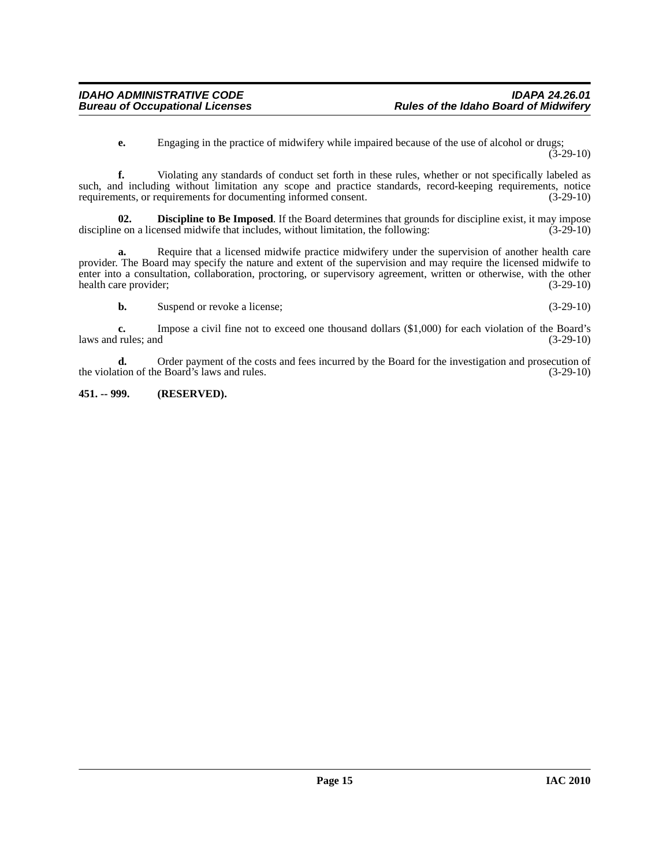**e.** Engaging in the practice of midwifery while impaired because of the use of alcohol or drugs; (3-29-10)

**f.** Violating any standards of conduct set forth in these rules, whether or not specifically labeled as such, and including without limitation any scope and practice standards, record-keeping requirements, or requirements for documenting informed consent. (3-29-10) requirements, or requirements for documenting informed consent.

<span id="page-14-1"></span>**02. Discipline to Be Imposed**. If the Board determines that grounds for discipline exist, it may impose e on a licensed midwife that includes, without limitation, the following: (3-29-10) discipline on a licensed midwife that includes, without limitation, the following:

**a.** Require that a licensed midwife practice midwifery under the supervision of another health care provider. The Board may specify the nature and extent of the supervision and may require the licensed midwife to enter into a consultation, collaboration, proctoring, or supervisory agreement, written or otherwise, with the other health care provider; (3-29-10)

**b.** Suspend or revoke a license; (3-29-10)

**c.** Impose a civil fine not to exceed one thousand dollars (\$1,000) for each violation of the Board's laws and rules; and  $(3-29-10)$ 

**d.** Order payment of the costs and fees incurred by the Board for the investigation and prosecution of the Board's laws and rules.  $(3-29-10)$ the violation of the Board's laws and rules.

# <span id="page-14-0"></span>**451. -- 999. (RESERVED).**